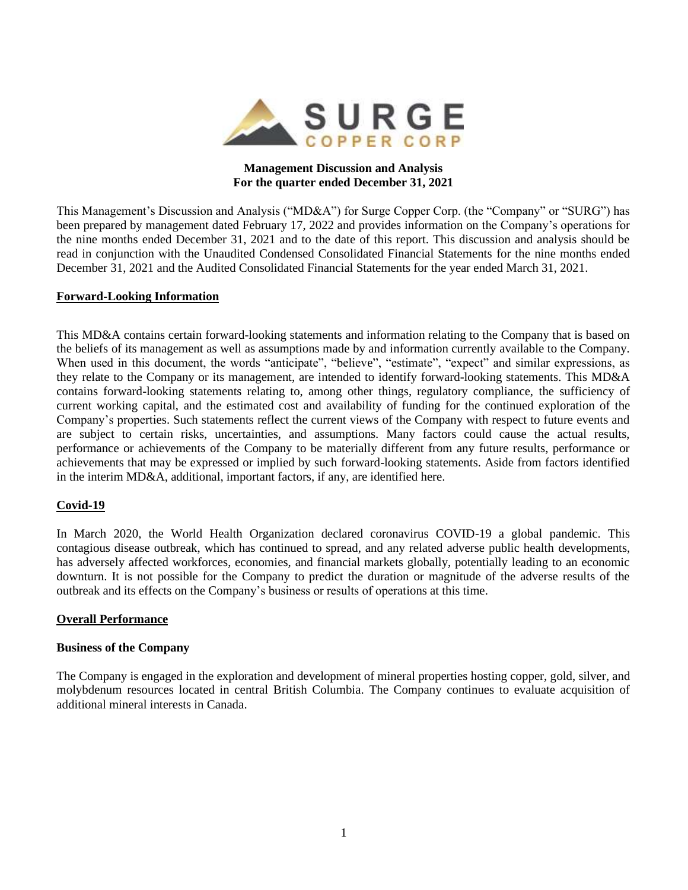

## **Management Discussion and Analysis For the quarter ended December 31, 2021**

This Management's Discussion and Analysis ("MD&A") for Surge Copper Corp. (the "Company" or "SURG") has been prepared by management dated February 17, 2022 and provides information on the Company's operations for the nine months ended December 31, 2021 and to the date of this report. This discussion and analysis should be read in conjunction with the Unaudited Condensed Consolidated Financial Statements for the nine months ended December 31, 2021 and the Audited Consolidated Financial Statements for the year ended March 31, 2021.

#### **Forward-Looking Information**

This MD&A contains certain forward-looking statements and information relating to the Company that is based on the beliefs of its management as well as assumptions made by and information currently available to the Company. When used in this document, the words "anticipate", "believe", "estimate", "expect" and similar expressions, as they relate to the Company or its management, are intended to identify forward-looking statements. This MD&A contains forward-looking statements relating to, among other things, regulatory compliance, the sufficiency of current working capital, and the estimated cost and availability of funding for the continued exploration of the Company's properties. Such statements reflect the current views of the Company with respect to future events and are subject to certain risks, uncertainties, and assumptions. Many factors could cause the actual results, performance or achievements of the Company to be materially different from any future results, performance or achievements that may be expressed or implied by such forward-looking statements. Aside from factors identified in the interim MD&A, additional, important factors, if any, are identified here.

### **Covid-19**

In March 2020, the World Health Organization declared coronavirus COVID-19 a global pandemic. This contagious disease outbreak, which has continued to spread, and any related adverse public health developments, has adversely affected workforces, economies, and financial markets globally, potentially leading to an economic downturn. It is not possible for the Company to predict the duration or magnitude of the adverse results of the outbreak and its effects on the Company's business or results of operations at this time.

#### **Overall Performance**

#### **Business of the Company**

The Company is engaged in the exploration and development of mineral properties hosting copper, gold, silver, and molybdenum resources located in central British Columbia. The Company continues to evaluate acquisition of additional mineral interests in Canada.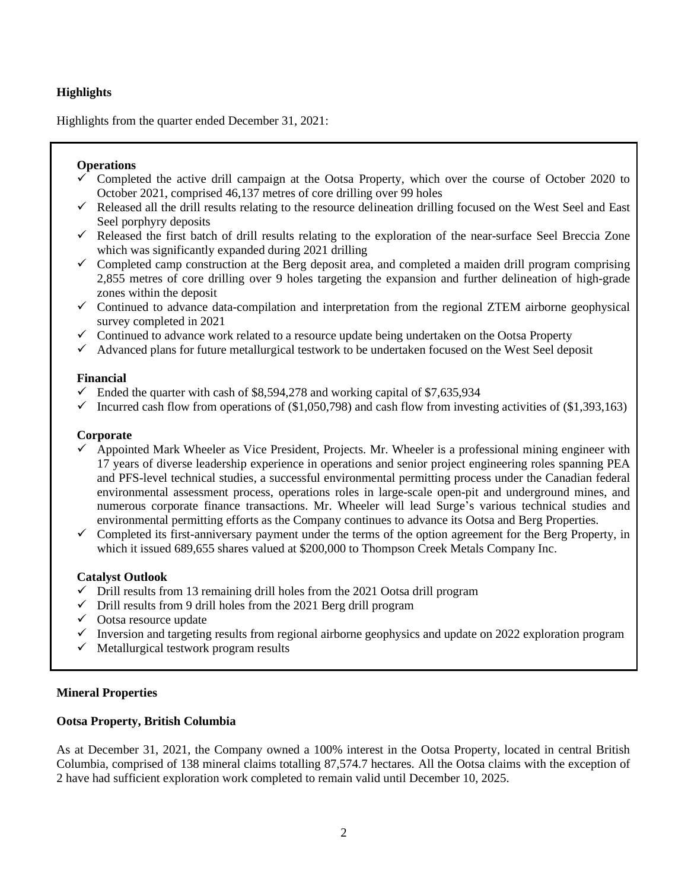# **Highlights**

Highlights from the quarter ended December 31, 2021:

# **Operations**

- Completed the active drill campaign at the Ootsa Property, which over the course of October 2020 to October 2021, comprised 46,137 metres of core drilling over 99 holes
- $\checkmark$  Released all the drill results relating to the resource delineation drilling focused on the West Seel and East Seel porphyry deposits
- $\checkmark$  Released the first batch of drill results relating to the exploration of the near-surface Seel Breccia Zone which was significantly expanded during 2021 drilling
- $\checkmark$  Completed camp construction at the Berg deposit area, and completed a maiden drill program comprising 2,855 metres of core drilling over 9 holes targeting the expansion and further delineation of high-grade zones within the deposit
- ✓ Continued to advance data-compilation and interpretation from the regional ZTEM airborne geophysical survey completed in 2021
- $\checkmark$  Continued to advance work related to a resource update being undertaken on the Ootsa Property
- $\checkmark$  Advanced plans for future metallurgical testwork to be undertaken focused on the West Seel deposit

### **Financial**

- $\checkmark$  Ended the quarter with cash of \$8,594,278 and working capital of \$7,635,934
- $\checkmark$  Incurred cash flow from operations of (\$1,050,798) and cash flow from investing activities of (\$1,393,163)

### **Corporate**

- $\checkmark$  Appointed Mark Wheeler as Vice President, Projects. Mr. Wheeler is a professional mining engineer with 17 years of diverse leadership experience in operations and senior project engineering roles spanning PEA and PFS-level technical studies, a successful environmental permitting process under the Canadian federal environmental assessment process, operations roles in large-scale open-pit and underground mines, and numerous corporate finance transactions. Mr. Wheeler will lead Surge's various technical studies and environmental permitting efforts as the Company continues to advance its Ootsa and Berg Properties.
- $\checkmark$  Completed its first-anniversary payment under the terms of the option agreement for the Berg Property, in which it issued 689,655 shares valued at \$200,000 to Thompson Creek Metals Company Inc.

### **Catalyst Outlook**

- $\checkmark$  Drill results from 13 remaining drill holes from the 2021 Ootsa drill program
- $\checkmark$  Drill results from 9 drill holes from the 2021 Berg drill program
- $\checkmark$  Ootsa resource update
- $\checkmark$  Inversion and targeting results from regional airborne geophysics and update on 2022 exploration program
- $\checkmark$  Metallurgical testwork program results

## **Mineral Properties**

### **Ootsa Property, British Columbia**

As at December 31, 2021, the Company owned a 100% interest in the Ootsa Property, located in central British Columbia, comprised of 138 mineral claims totalling 87,574.7 hectares. All the Ootsa claims with the exception of 2 have had sufficient exploration work completed to remain valid until December 10, 2025.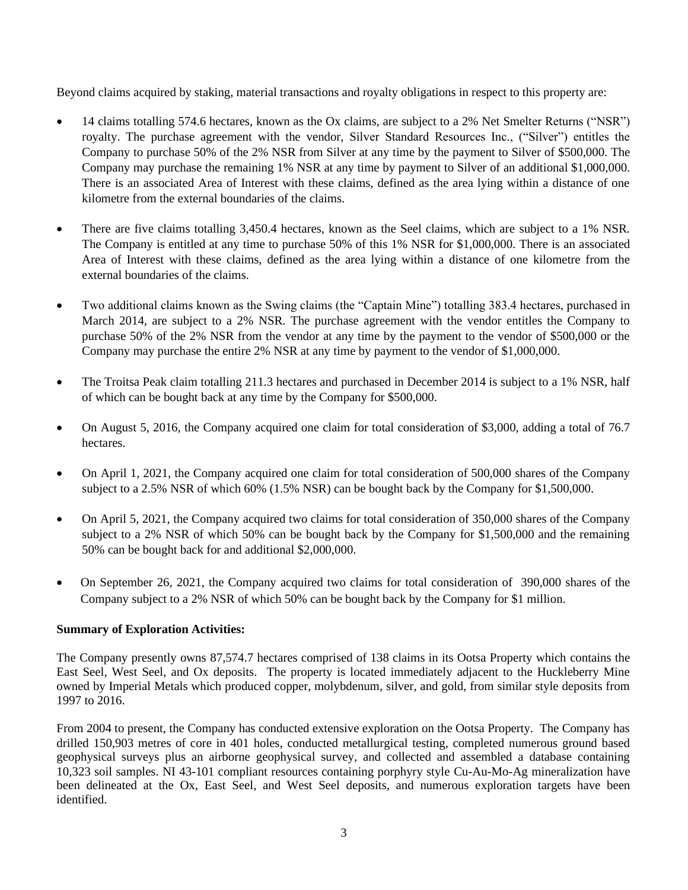Beyond claims acquired by staking, material transactions and royalty obligations in respect to this property are:

- 14 claims totalling 574.6 hectares, known as the Ox claims, are subject to a 2% Net Smelter Returns ("NSR") royalty. The purchase agreement with the vendor, Silver Standard Resources Inc., ("Silver") entitles the Company to purchase 50% of the 2% NSR from Silver at any time by the payment to Silver of \$500,000. The Company may purchase the remaining 1% NSR at any time by payment to Silver of an additional \$1,000,000. There is an associated Area of Interest with these claims, defined as the area lying within a distance of one kilometre from the external boundaries of the claims.
- There are five claims totalling 3,450.4 hectares, known as the Seel claims, which are subject to a 1% NSR. The Company is entitled at any time to purchase 50% of this 1% NSR for \$1,000,000. There is an associated Area of Interest with these claims, defined as the area lying within a distance of one kilometre from the external boundaries of the claims.
- Two additional claims known as the Swing claims (the "Captain Mine") totalling 383.4 hectares, purchased in March 2014, are subject to a 2% NSR. The purchase agreement with the vendor entitles the Company to purchase 50% of the 2% NSR from the vendor at any time by the payment to the vendor of \$500,000 or the Company may purchase the entire 2% NSR at any time by payment to the vendor of \$1,000,000.
- The Troitsa Peak claim totalling 211.3 hectares and purchased in December 2014 is subject to a 1% NSR, half of which can be bought back at any time by the Company for \$500,000.
- On August 5, 2016, the Company acquired one claim for total consideration of \$3,000, adding a total of 76.7 hectares.
- On April 1, 2021, the Company acquired one claim for total consideration of 500,000 shares of the Company subject to a 2.5% NSR of which 60% (1.5% NSR) can be bought back by the Company for \$1,500,000.
- On April 5, 2021, the Company acquired two claims for total consideration of 350,000 shares of the Company subject to a 2% NSR of which 50% can be bought back by the Company for \$1,500,000 and the remaining 50% can be bought back for and additional \$2,000,000.
- On September 26, 2021, the Company acquired two claims for total consideration of 390,000 shares of the Company subject to a 2% NSR of which 50% can be bought back by the Company for \$1 million.

### **Summary of Exploration Activities:**

The Company presently owns 87,574.7 hectares comprised of 138 claims in its Ootsa Property which contains the East Seel, West Seel, and Ox deposits. The property is located immediately adjacent to the Huckleberry Mine owned by Imperial Metals which produced copper, molybdenum, silver, and gold, from similar style deposits from 1997 to 2016.

From 2004 to present, the Company has conducted extensive exploration on the Ootsa Property. The Company has drilled 150,903 metres of core in 401 holes, conducted metallurgical testing, completed numerous ground based geophysical surveys plus an airborne geophysical survey, and collected and assembled a database containing 10,323 soil samples. NI 43-101 compliant resources containing porphyry style Cu-Au-Mo-Ag mineralization have been delineated at the Ox, East Seel, and West Seel deposits, and numerous exploration targets have been identified.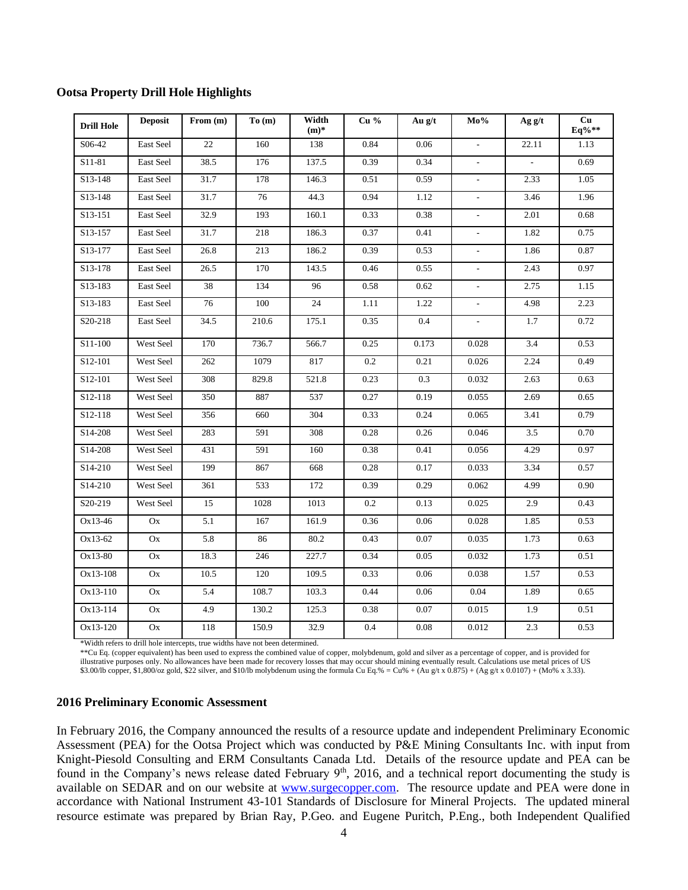|  |  |  |  |  | <b>Ootsa Property Drill Hole Highlights</b> |
|--|--|--|--|--|---------------------------------------------|
|--|--|--|--|--|---------------------------------------------|

| <b>Drill Hole</b> | <b>Deposit</b>         | From $(m)$ | To(m) | Width<br>$(m)$ *   | Cu <sub>96</sub> | Au g/t   | Mo%                      | Ag g/t | Cu<br>Eq%** |
|-------------------|------------------------|------------|-------|--------------------|------------------|----------|--------------------------|--------|-------------|
| S06-42            | East Seel              | 22         | 160   | 138                | 0.84             | 0.06     | $\overline{a}$           | 22.11  | 1.13        |
| S11-81            | East Seel              | 38.5       | 176   | 137.5              | 0.39             | 0.34     |                          |        | 0.69        |
| S13-148           | East Seel              | 31.7       | 178   | 146.3              | 0.51             | 0.59     | $\overline{\phantom{a}}$ | 2.33   | 1.05        |
| S13-148           | East Seel              | 31.7       | 76    | 44.3               | 0.94             | 1.12     | $\overline{\phantom{a}}$ | 3.46   | 1.96        |
| S13-151           | East Seel              | 32.9       | 193   | 160.1              | 0.33             | 0.38     | $\overline{a}$           | 2.01   | 0.68        |
| S13-157           | East Seel              | 31.7       | 218   | 186.3              | 0.37             | 0.41     | $\blacksquare$           | 1.82   | 0.75        |
| S13-177           | East Seel              | 26.8       | 213   | 186.2              | 0.39             | 0.53     | $\overline{\phantom{a}}$ | 1.86   | 0.87        |
| S13-178           | East Seel              | 26.5       | 170   | 143.5              | 0.46             | 0.55     | $\overline{\phantom{a}}$ | 2.43   | 0.97        |
| S13-183           | East Seel              | 38         | 134   | 96                 | 0.58             | 0.62     | $\frac{1}{2}$            | 2.75   | 1.15        |
| S13-183           | East Seel              | 76         | 100   | 24                 | 1.11             | 1.22     | $\overline{\phantom{a}}$ | 4.98   | 2.23        |
| S20-218           | East Seel              | 34.5       | 210.6 | 175.1              | 0.35             | 0.4      |                          | 1.7    | 0.72        |
| S11-100           | West Seel              | 170        | 736.7 | 566.7              | 0.25             | 0.173    | 0.028                    | 3.4    | 0.53        |
| S12-101           | West Seel              | 262        | 1079  | 817                | 0.2              | 0.21     | 0.026                    | 2.24   | 0.49        |
| S12-101           | West Seel              | 308        | 829.8 | $\overline{521.8}$ | 0.23             | 0.3      | 0.032                    | 2.63   | 0.63        |
| S12-118           | West Seel              | 350        | 887   | 537                | 0.27             | 0.19     | 0.055                    | 2.69   | 0.65        |
| S12-118           | West Seel              | 356        | 660   | 304                | 0.33             | 0.24     | 0.065                    | 3.41   | 0.79        |
| S14-208           | West Seel              | 283        | 591   | 308                | 0.28             | 0.26     | 0.046                    | 3.5    | 0.70        |
| S14-208           | West Seel              | 431        | 591   | 160                | 0.38             | 0.41     | 0.056                    | 4.29   | 0.97        |
| S14-210           | West Seel              | 199        | 867   | 668                | 0.28             | 0.17     | 0.033                    | 3.34   | 0.57        |
| S14-210           | West Seel              | 361        | 533   | 172                | 0.39             | 0.29     | 0.062                    | 4.99   | 0.90        |
| S20-219           | West Seel              | 15         | 1028  | 1013               | 0.2              | 0.13     | 0.025                    | 2.9    | 0.43        |
| Ox13-46           | Ox                     | 5.1        | 167   | 161.9              | 0.36             | 0.06     | 0.028                    | 1.85   | 0.53        |
| Ox13-62           | Ox                     | 5.8        | 86    | 80.2               | 0.43             | 0.07     | 0.035                    | 1.73   | 0.63        |
| Ox13-80           | $\mathbf{O}\mathbf{x}$ | 18.3       | 246   | 227.7              | 0.34             | 0.05     | 0.032                    | 1.73   | 0.51        |
| Ox13-108          | Ox                     | 10.5       | 120   | 109.5              | 0.33             | 0.06     | 0.038                    | 1.57   | 0.53        |
| Ox13-110          | $\mathbf{O}\mathbf{x}$ | 5.4        | 108.7 | 103.3              | 0.44             | 0.06     | 0.04                     | 1.89   | 0.65        |
| Ox13-114          | Ox                     | 4.9        | 130.2 | 125.3              | 0.38             | 0.07     | 0.015                    | 1.9    | 0.51        |
| Ox13-120          | $\mathbf{O}\mathbf{x}$ | 118        | 150.9 | 32.9               | 0.4              | $0.08\,$ | 0.012                    | 2.3    | 0.53        |

\*Width refers to drill hole intercepts, true widths have not been determined.

\*\*Cu Eq. (copper equivalent) has been used to express the combined value of copper, molybdenum, gold and silver as a percentage of copper, and is provided for illustrative purposes only. No allowances have been made for recovery losses that may occur should mining eventually result. Calculations use metal prices of US \$3.00/lb copper, \$1,800/oz gold, \$22 silver, and \$10/lb molybdenum using the formula Cu Eq.% = Cu% + (Au g/t x 0.875) + (Ag g/t x 0.0107) + (Mo% x 3.33).

#### **2016 Preliminary Economic Assessment**

In February 2016, the Company announced the results of a resource update and independent Preliminary Economic Assessment (PEA) for the Ootsa Project which was conducted by P&E Mining Consultants Inc. with input from Knight-Piesold Consulting and ERM Consultants Canada Ltd. Details of the resource update and PEA can be found in the Company's news release dated February  $9<sup>th</sup>$ , 2016, and a technical report documenting the study is available on SEDAR and on our website at [www.surgecopper.com.](http://www.surgecopper.com/) The resource update and PEA were done in accordance with National Instrument 43-101 Standards of Disclosure for Mineral Projects. The updated mineral resource estimate was prepared by Brian Ray, P.Geo. and Eugene Puritch, P.Eng., both Independent Qualified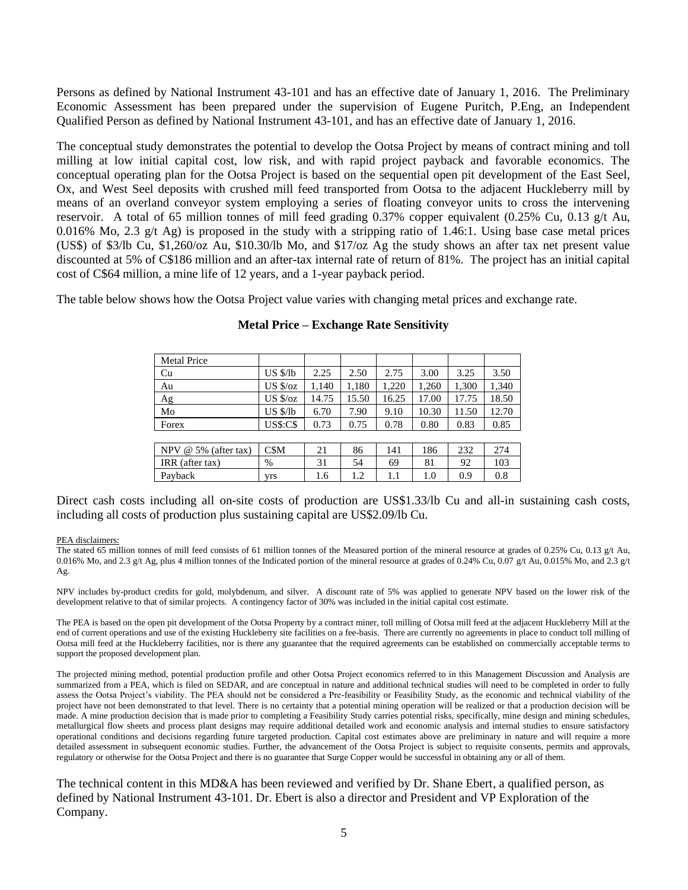Persons as defined by National Instrument 43-101 and has an effective date of January 1, 2016. The Preliminary Economic Assessment has been prepared under the supervision of Eugene Puritch, P.Eng, an Independent Qualified Person as defined by National Instrument 43-101, and has an effective date of January 1, 2016.

The conceptual study demonstrates the potential to develop the Ootsa Project by means of contract mining and toll milling at low initial capital cost, low risk, and with rapid project payback and favorable economics. The conceptual operating plan for the Ootsa Project is based on the sequential open pit development of the East Seel, Ox, and West Seel deposits with crushed mill feed transported from Ootsa to the adjacent Huckleberry mill by means of an overland conveyor system employing a series of floating conveyor units to cross the intervening reservoir. A total of 65 million tonnes of mill feed grading 0.37% copper equivalent (0.25% Cu, 0.13 g/t Au, 0.016% Mo, 2.3 g/t Ag) is proposed in the study with a stripping ratio of 1.46:1. Using base case metal prices (US\$) of \$3/lb Cu, \$1,260/oz Au, \$10.30/lb Mo, and \$17/oz Ag the study shows an after tax net present value discounted at 5% of C\$186 million and an after-tax internal rate of return of 81%. The project has an initial capital cost of C\$64 million, a mine life of 12 years, and a 1-year payback period.

The table below shows how the Ootsa Project value varies with changing metal prices and exchange rate.

| <b>Metal Price</b>     |                   |       |       |       |       |       |       |
|------------------------|-------------------|-------|-------|-------|-------|-------|-------|
| Cu                     | $US \frac{S}{lb}$ | 2.25  | 2.50  | 2.75  | 3.00  | 3.25  | 3.50  |
| Au                     | $US$ $\sqrt{2}$   | 1,140 | 1,180 | 1,220 | 1,260 | 1,300 | 1,340 |
| Ag                     | $US \frac{6}{2}$  | 14.75 | 15.50 | 16.25 | 17.00 | 17.75 | 18.50 |
| Mo                     | $US \frac{8}{16}$ | 6.70  | 7.90  | 9.10  | 10.30 | 11.50 | 12.70 |
| Forex                  | <b>US\$:C\$</b>   | 0.73  | 0.75  | 0.78  | 0.80  | 0.83  | 0.85  |
|                        |                   |       |       |       |       |       |       |
| NPV $@$ 5% (after tax) | C\$M              | 21    | 86    | 141   | 186   | 232   | 274   |
| IRR (after tax)        | %                 | 31    | 54    | 69    | 81    | 92    | 103   |
| Payback                | vrs               | 1.6   | 1.2   | 1.1   | 1.0   | 0.9   | 0.8   |

#### **Metal Price – Exchange Rate Sensitivity**

Direct cash costs including all on-site costs of production are US\$1.33/lb Cu and all-in sustaining cash costs, including all costs of production plus sustaining capital are US\$2.09/lb Cu.

#### PEA disclaimers:

The stated 65 million tonnes of mill feed consists of 61 million tonnes of the Measured portion of the mineral resource at grades of 0.25% Cu, 0.13 g/t Au, 0.016% Mo, and 2.3 g/t Ag, plus 4 million tonnes of the Indicated portion of the mineral resource at grades of 0.24% Cu, 0.07 g/t Au, 0.015% Mo, and 2.3 g/t Ag.

NPV includes by-product credits for gold, molybdenum, and silver. A discount rate of 5% was applied to generate NPV based on the lower risk of the development relative to that of similar projects. A contingency factor of 30% was included in the initial capital cost estimate.

The PEA is based on the open pit development of the Ootsa Property by a contract miner, toll milling of Ootsa mill feed at the adjacent Huckleberry Mill at the end of current operations and use of the existing Huckleberry site facilities on a fee-basis. There are currently no agreements in place to conduct toll milling of Ootsa mill feed at the Huckleberry facilities, nor is there any guarantee that the required agreements can be established on commercially acceptable terms to support the proposed development plan.

The projected mining method, potential production profile and other Ootsa Project economics referred to in this Management Discussion and Analysis are summarized from a PEA, which is filed on SEDAR, and are conceptual in nature and additional technical studies will need to be completed in order to fully assess the Ootsa Project's viability. The PEA should not be considered a Pre-feasibility or Feasibility Study, as the economic and technical viability of the project have not been demonstrated to that level. There is no certainty that a potential mining operation will be realized or that a production decision will be made. A mine production decision that is made prior to completing a Feasibility Study carries potential risks, specifically, mine design and mining schedules, metallurgical flow sheets and process plant designs may require additional detailed work and economic analysis and internal studies to ensure satisfactory operational conditions and decisions regarding future targeted production. Capital cost estimates above are preliminary in nature and will require a more detailed assessment in subsequent economic studies. Further, the advancement of the Ootsa Project is subject to requisite consents, permits and approvals, regulatory or otherwise for the Ootsa Project and there is no guarantee that Surge Copper would be successful in obtaining any or all of them.

The technical content in this MD&A has been reviewed and verified by Dr. Shane Ebert, a qualified person, as defined by National Instrument 43-101. Dr. Ebert is also a director and President and VP Exploration of the Company.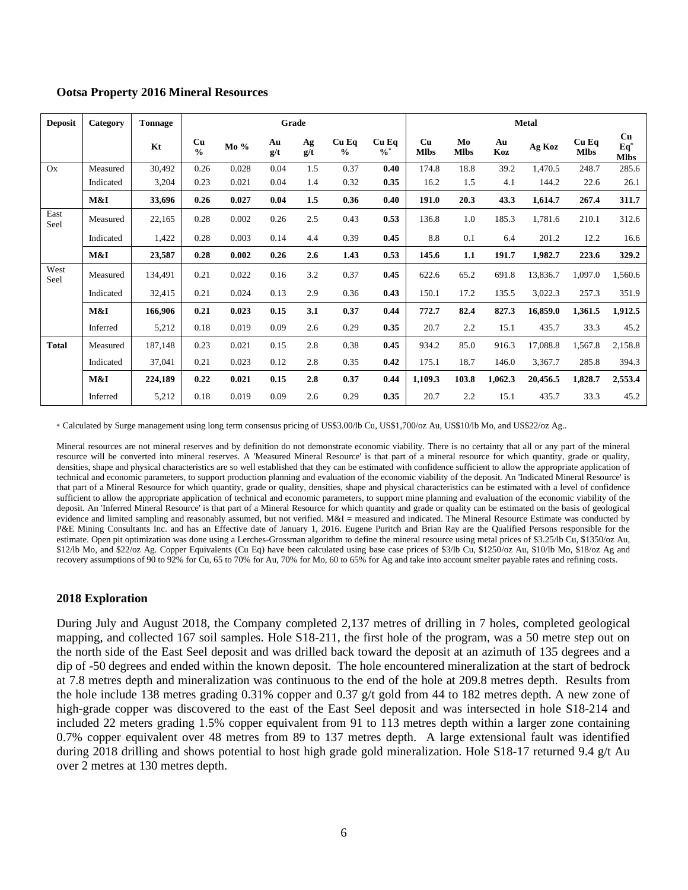| <b>Deposit</b> | Category  | <b>Tonnage</b> |                     | Grade  |           |           |                        |                          |                   | <b>Metal</b>      |           |          |                        |                            |
|----------------|-----------|----------------|---------------------|--------|-----------|-----------|------------------------|--------------------------|-------------------|-------------------|-----------|----------|------------------------|----------------------------|
|                |           | Kt             | Cu<br>$\frac{0}{0}$ | $Mo\%$ | Au<br>g/t | Ag<br>g/t | Cu Eq<br>$\frac{0}{0}$ | $Cu$ Eq<br>$\frac{0}{6}$ | Cu<br><b>Mlbs</b> | Mo<br><b>Mlbs</b> | Au<br>Koz | Ag Koz   | $Cu$ Eq<br><b>Mlbs</b> | Cu<br>$Eq*$<br><b>Mlbs</b> |
| Ox             | Measured  | 30,492         | 0.26                | 0.028  | 0.04      | 1.5       | 0.37                   | 0.40                     | 174.8             | 18.8              | 39.2      | 1,470.5  | 248.7                  | 285.6                      |
|                | Indicated | 3,204          | 0.23                | 0.021  | 0.04      | 1.4       | 0.32                   | 0.35                     | 16.2              | 1.5               | 4.1       | 144.2    | 22.6                   | 26.1                       |
|                | M&I       | 33,696         | 0.26                | 0.027  | 0.04      | 1.5       | 0.36                   | 0.40                     | 191.0             | 20.3              | 43.3      | 1,614.7  | 267.4                  | 311.7                      |
| East<br>Seel   | Measured  | 22,165         | 0.28                | 0.002  | 0.26      | 2.5       | 0.43                   | 0.53                     | 136.8             | 1.0               | 185.3     | 1,781.6  | 210.1                  | 312.6                      |
|                | Indicated | 1,422          | 0.28                | 0.003  | 0.14      | 4.4       | 0.39                   | 0.45                     | 8.8               | 0.1               | 6.4       | 201.2    | 12.2                   | 16.6                       |
|                | M&I       | 23,587         | 0.28                | 0.002  | 0.26      | 2.6       | 1.43                   | 0.53                     | 145.6             | 1.1               | 191.7     | 1,982.7  | 223.6                  | 329.2                      |
| West<br>Seel   | Measured  | 134,491        | 0.21                | 0.022  | 0.16      | 3.2       | 0.37                   | 0.45                     | 622.6             | 65.2              | 691.8     | 13,836.7 | 1,097.0                | 1,560.6                    |
|                | Indicated | 32,415         | 0.21                | 0.024  | 0.13      | 2.9       | 0.36                   | 0.43                     | 150.1             | 17.2              | 135.5     | 3,022.3  | 257.3                  | 351.9                      |
|                | M&I       | 166,906        | 0.21                | 0.023  | 0.15      | 3.1       | 0.37                   | 0.44                     | 772.7             | 82.4              | 827.3     | 16,859.0 | 1,361.5                | 1,912.5                    |
|                | Inferred  | 5,212          | 0.18                | 0.019  | 0.09      | 2.6       | 0.29                   | 0.35                     | 20.7              | 2.2               | 15.1      | 435.7    | 33.3                   | 45.2                       |
| <b>Total</b>   | Measured  | 187,148        | 0.23                | 0.021  | 0.15      | 2.8       | 0.38                   | 0.45                     | 934.2             | 85.0              | 916.3     | 17,088.8 | 1,567.8                | 2,158.8                    |
|                | Indicated | 37,041         | 0.21                | 0.023  | 0.12      | 2.8       | 0.35                   | 0.42                     | 175.1             | 18.7              | 146.0     | 3,367.7  | 285.8                  | 394.3                      |
|                | M&I       | 224,189        | 0.22                | 0.021  | 0.15      | 2.8       | 0.37                   | 0.44                     | 1,109.3           | 103.8             | 1,062.3   | 20,456.5 | 1,828.7                | 2,553.4                    |
|                | Inferred  | 5,212          | 0.18                | 0.019  | 0.09      | 2.6       | 0.29                   | 0.35                     | 20.7              | 2.2               | 15.1      | 435.7    | 33.3                   | 45.2                       |

#### **Ootsa Property 2016 Mineral Resources**

\* Calculated by Surge management using long term consensus pricing of US\$3.00/lb Cu, US\$1,700/oz Au, US\$10/lb Mo, and US\$22/oz Ag..

Mineral resources are not mineral reserves and by definition do not demonstrate economic viability. There is no certainty that all or any part of the mineral resource will be converted into mineral reserves. A 'Measured Mineral Resource' is that part of a mineral resource for which quantity, grade or quality, densities, shape and physical characteristics are so well established that they can be estimated with confidence sufficient to allow the appropriate application of technical and economic parameters, to support production planning and evaluation of the economic viability of the deposit. An 'Indicated Mineral Resource' is that part of a Mineral Resource for which quantity, grade or quality, densities, shape and physical characteristics can be estimated with a level of confidence sufficient to allow the appropriate application of technical and economic parameters, to support mine planning and evaluation of the economic viability of the deposit. An 'Inferred Mineral Resource' is that part of a Mineral Resource for which quantity and grade or quality can be estimated on the basis of geological evidence and limited sampling and reasonably assumed, but not verified. M&I = measured and indicated. The Mineral Resource Estimate was conducted by P&E Mining Consultants Inc. and has an Effective date of January 1, 2016. Eugene Puritch and Brian Ray are the Qualified Persons responsible for the estimate. Open pit optimization was done using a Lerches-Grossman algorithm to define the mineral resource using metal prices of \$3.25/lb Cu, \$1350/oz Au, \$12/lb Mo, and \$22/oz Ag. Copper Equivalents (Cu Eq) have been calculated using base case prices of \$3/lb Cu, \$1250/oz Au, \$10/lb Mo, \$18/oz Ag and recovery assumptions of 90 to 92% for Cu, 65 to 70% for Au, 70% for Mo, 60 to 65% for Ag and take into account smelter payable rates and refining costs.

### **2018 Exploration**

During July and August 2018, the Company completed 2,137 metres of drilling in 7 holes, completed geological mapping, and collected 167 soil samples. Hole S18-211, the first hole of the program, was a 50 metre step out on the north side of the East Seel deposit and was drilled back toward the deposit at an azimuth of 135 degrees and a dip of -50 degrees and ended within the known deposit. The hole encountered mineralization at the start of bedrock at 7.8 metres depth and mineralization was continuous to the end of the hole at 209.8 metres depth. Results from the hole include 138 metres grading 0.31% copper and 0.37 g/t gold from 44 to 182 metres depth. A new zone of high-grade copper was discovered to the east of the East Seel deposit and was intersected in hole S18-214 and included 22 meters grading 1.5% copper equivalent from 91 to 113 metres depth within a larger zone containing 0.7% copper equivalent over 48 metres from 89 to 137 metres depth. A large extensional fault was identified during 2018 drilling and shows potential to host high grade gold mineralization. Hole S18-17 returned 9.4 g/t Au over 2 metres at 130 metres depth.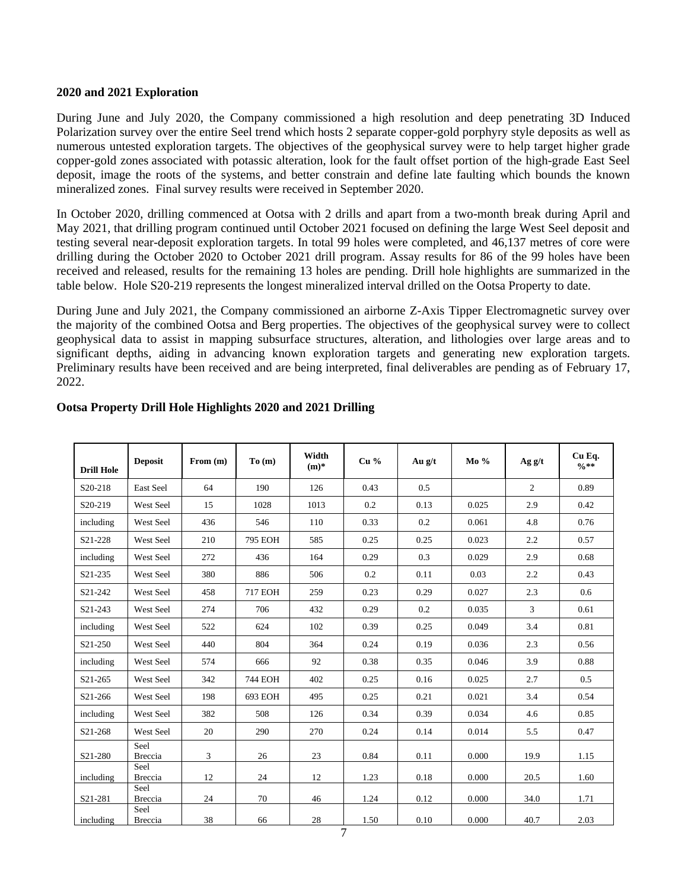#### **2020 and 2021 Exploration**

During June and July 2020, the Company commissioned a high resolution and deep penetrating 3D Induced Polarization survey over the entire Seel trend which hosts 2 separate copper-gold porphyry style deposits as well as numerous untested exploration targets. The objectives of the geophysical survey were to help target higher grade copper-gold zones associated with potassic alteration, look for the fault offset portion of the high-grade East Seel deposit, image the roots of the systems, and better constrain and define late faulting which bounds the known mineralized zones. Final survey results were received in September 2020.

In October 2020, drilling commenced at Ootsa with 2 drills and apart from a two-month break during April and May 2021, that drilling program continued until October 2021 focused on defining the large West Seel deposit and testing several near-deposit exploration targets. In total 99 holes were completed, and 46,137 metres of core were drilling during the October 2020 to October 2021 drill program. Assay results for 86 of the 99 holes have been received and released, results for the remaining 13 holes are pending. Drill hole highlights are summarized in the table below. Hole S20-219 represents the longest mineralized interval drilled on the Ootsa Property to date.

During June and July 2021, the Company commissioned an airborne Z-Axis Tipper Electromagnetic survey over the majority of the combined Ootsa and Berg properties. The objectives of the geophysical survey were to collect geophysical data to assist in mapping subsurface structures, alteration, and lithologies over large areas and to significant depths, aiding in advancing known exploration targets and generating new exploration targets. Preliminary results have been received and are being interpreted, final deliverables are pending as of February 17, 2022.

| <b>Drill Hole</b>    | <b>Deposit</b>         | From (m) | To(m)          | Width<br>$(m)$ * | Cu <sub>96</sub> | Au $g/t$ | $Mo\%$ | Ag g/t | Cu Eq.<br>$0/0$ ** |
|----------------------|------------------------|----------|----------------|------------------|------------------|----------|--------|--------|--------------------|
| S <sub>20</sub> -218 | East Seel              | 64       | 190            | 126              | 0.43             | 0.5      |        | 2      | 0.89               |
| S20-219              | West Seel              | 15       | 1028           | 1013             | 0.2              | 0.13     | 0.025  | 2.9    | 0.42               |
| including            | West Seel              | 436      | 546            | 110              | 0.33             | 0.2      | 0.061  | 4.8    | 0.76               |
| S21-228              | West Seel              | 210      | <b>795 EOH</b> | 585              | 0.25             | 0.25     | 0.023  | 2.2    | 0.57               |
| including            | West Seel              | 272      | 436            | 164              | 0.29             | 0.3      | 0.029  | 2.9    | 0.68               |
| S21-235              | West Seel              | 380      | 886            | 506              | 0.2              | 0.11     | 0.03   | 2.2    | 0.43               |
| S21-242              | West Seel              | 458      | <b>717 EOH</b> | 259              | 0.23             | 0.29     | 0.027  | 2.3    | 0.6                |
| S21-243              | West Seel              | 274      | 706            | 432              | 0.29             | 0.2      | 0.035  | 3      | 0.61               |
| including            | West Seel              | 522      | 624            | 102              | 0.39             | 0.25     | 0.049  | 3.4    | 0.81               |
| S21-250              | West Seel              | 440      | 804            | 364              | 0.24             | 0.19     | 0.036  | 2.3    | 0.56               |
| including            | West Seel              | 574      | 666            | 92               | 0.38             | 0.35     | 0.046  | 3.9    | 0.88               |
| S21-265              | West Seel              | 342      | <b>744 EOH</b> | 402              | 0.25             | 0.16     | 0.025  | 2.7    | 0.5                |
| S21-266              | West Seel              | 198      | 693 EOH        | 495              | 0.25             | 0.21     | 0.021  | 3.4    | 0.54               |
| including            | West Seel              | 382      | 508            | 126              | 0.34             | 0.39     | 0.034  | 4.6    | 0.85               |
| S21-268              | West Seel              | 20       | 290            | 270              | 0.24             | 0.14     | 0.014  | 5.5    | 0.47               |
| S21-280              | Seel<br>Breccia        | 3        | 26             | 23               | 0.84             | 0.11     | 0.000  | 19.9   | 1.15               |
| including            | Seel<br>Breccia        | 12       | 24             | 12               | 1.23             | 0.18     | 0.000  | 20.5   | 1.60               |
| S21-281              | Seel<br><b>Breccia</b> | 24       | 70             | 46               | 1.24             | 0.12     | 0.000  | 34.0   | 1.71               |
| including            | Seel<br><b>Breccia</b> | 38       | 66             | 28               | 1.50             | 0.10     | 0.000  | 40.7   | 2.03               |

# **Ootsa Property Drill Hole Highlights 2020 and 2021 Drilling**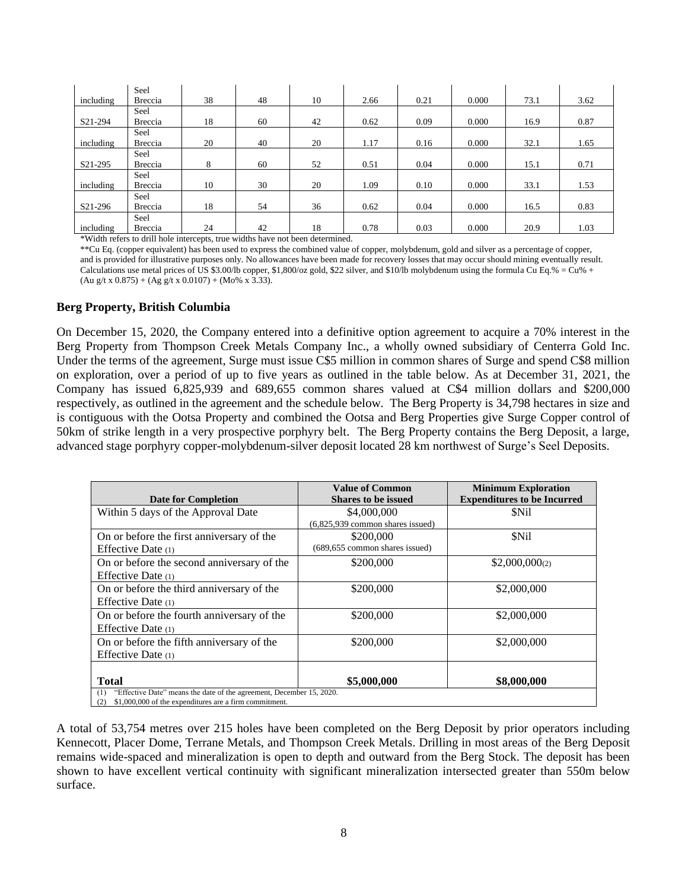|                      | Seel    |    |    |    |      |      |       |      |      |
|----------------------|---------|----|----|----|------|------|-------|------|------|
| including            | Breccia | 38 | 48 | 10 | 2.66 | 0.21 | 0.000 | 73.1 | 3.62 |
|                      | Seel    |    |    |    |      |      |       |      |      |
| S21-294              | Breccia | 18 | 60 | 42 | 0.62 | 0.09 | 0.000 | 16.9 | 0.87 |
|                      | Seel    |    |    |    |      |      |       |      |      |
| including            | Breccia | 20 | 40 | 20 | 1.17 | 0.16 | 0.000 | 32.1 | 1.65 |
|                      | Seel    |    |    |    |      |      |       |      |      |
| S21-295              | Breccia | 8  | 60 | 52 | 0.51 | 0.04 | 0.000 | 15.1 | 0.71 |
|                      | Seel    |    |    |    |      |      |       |      |      |
| including            | Breccia | 10 | 30 | 20 | 1.09 | 0.10 | 0.000 | 33.1 | 1.53 |
|                      | Seel    |    |    |    |      |      |       |      |      |
| S <sub>21</sub> -296 | Breccia | 18 | 54 | 36 | 0.62 | 0.04 | 0.000 | 16.5 | 0.83 |
|                      | Seel    |    |    |    |      |      |       |      |      |
| including            | Breccia | 24 | 42 | 18 | 0.78 | 0.03 | 0.000 | 20.9 | 1.03 |

\*Width refers to drill hole intercepts, true widths have not been determined.

\*\*Cu Eq. (copper equivalent) has been used to express the combined value of copper, molybdenum, gold and silver as a percentage of copper, and is provided for illustrative purposes only. No allowances have been made for recovery losses that may occur should mining eventually result. Calculations use metal prices of US \$3.00/lb copper, \$1,800/oz gold, \$22 silver, and \$10/lb molybdenum using the formula Cu Eq.% = Cu% +  $(Au g/t x 0.875) + (Ag g/t x 0.0107) + (Mo\% x 3.33).$ 

#### **Berg Property, British Columbia**

On December 15, 2020, the Company entered into a definitive option agreement to acquire a 70% interest in the Berg Property from Thompson Creek Metals Company Inc., a wholly owned subsidiary of Centerra Gold Inc. Under the terms of the agreement, Surge must issue C\$5 million in common shares of Surge and spend C\$8 million on exploration, over a period of up to five years as outlined in the table below. As at December 31, 2021, the Company has issued 6,825,939 and 689,655 common shares valued at C\$4 million dollars and \$200,000 respectively, as outlined in the agreement and the schedule below. The Berg Property is 34,798 hectares in size and is contiguous with the Ootsa Property and combined the Ootsa and Berg Properties give Surge Copper control of 50km of strike length in a very prospective porphyry belt. The Berg Property contains the Berg Deposit, a large, advanced stage porphyry copper-molybdenum-silver deposit located 28 km northwest of Surge's Seel Deposits.

| <b>Date for Completion</b>                                                  | <b>Value of Common</b><br><b>Shares to be issued</b> | <b>Minimum Exploration</b><br><b>Expenditures to be Incurred</b> |
|-----------------------------------------------------------------------------|------------------------------------------------------|------------------------------------------------------------------|
| Within 5 days of the Approval Date                                          | \$4,000,000                                          | \$Nil                                                            |
|                                                                             | $(6,825,939$ common shares issued)                   |                                                                  |
| On or before the first anniversary of the                                   | \$200,000                                            | \$Nil                                                            |
| Effective Date $(1)$                                                        | (689,655 common shares issued)                       |                                                                  |
| On or before the second anniversary of the                                  | \$200,000                                            | \$2,000,000 <sub>(2)</sub>                                       |
| Effective Date $(1)$                                                        |                                                      |                                                                  |
| On or before the third anniversary of the                                   | \$200,000                                            | \$2,000,000                                                      |
| Effective Date $(1)$                                                        |                                                      |                                                                  |
| On or before the fourth anniversary of the                                  | \$200,000                                            | \$2,000,000                                                      |
| Effective Date $(1)$                                                        |                                                      |                                                                  |
| On or before the fifth anniversary of the                                   | \$200,000                                            | \$2,000,000                                                      |
| Effective Date $(1)$                                                        |                                                      |                                                                  |
|                                                                             |                                                      |                                                                  |
| <b>Total</b>                                                                | \$5,000,000                                          | \$8,000,000                                                      |
| "Effective Date" means the date of the agreement, December 15, 2020.<br>(1) |                                                      |                                                                  |
| \$1,000,000 of the expenditures are a firm commitment.<br>(2)               |                                                      |                                                                  |

A total of 53,754 metres over 215 holes have been completed on the Berg Deposit by prior operators including Kennecott, Placer Dome, Terrane Metals, and Thompson Creek Metals. Drilling in most areas of the Berg Deposit remains wide-spaced and mineralization is open to depth and outward from the Berg Stock. The deposit has been shown to have excellent vertical continuity with significant mineralization intersected greater than 550m below surface.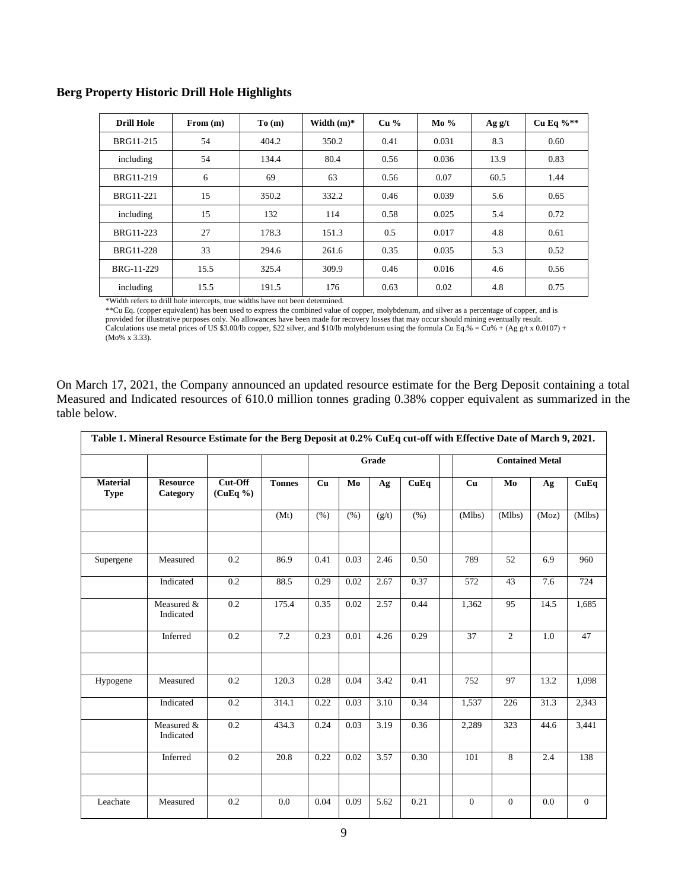| <b>Drill Hole</b> | From $(m)$ | To(m) | Width $(m)*$ | Cu <sub>96</sub> | $Mo\%$ | Ag g/t | Cu Eq $\%**$ |
|-------------------|------------|-------|--------------|------------------|--------|--------|--------------|
| BRG11-215         | 54         | 404.2 | 350.2        | 0.41             | 0.031  | 8.3    | 0.60         |
| including         | 54         | 134.4 | 80.4         | 0.56             | 0.036  | 13.9   | 0.83         |
| BRG11-219         | 6          | 69    | 63           | 0.56             | 0.07   | 60.5   | 1.44         |
| BRG11-221         | 15         | 350.2 | 332.2        | 0.46             | 0.039  | 5.6    | 0.65         |
| including         | 15         | 132   | 114          | 0.58             | 0.025  | 5.4    | 0.72         |
| BRG11-223         | 27         | 178.3 | 151.3        | 0.5              | 0.017  | 4.8    | 0.61         |
| <b>BRG11-228</b>  | 33         | 294.6 | 261.6        | 0.35             | 0.035  | 5.3    | 0.52         |
| BRG-11-229        | 15.5       | 325.4 | 309.9        | 0.46             | 0.016  | 4.6    | 0.56         |
| including         | 15.5       | 191.5 | 176          | 0.63             | 0.02   | 4.8    | 0.75         |

#### **Berg Property Historic Drill Hole Highlights**

\*Width refers to drill hole intercepts, true widths have not been determined.

\*\*Cu Eq. (copper equivalent) has been used to express the combined value of copper, molybdenum, and silver as a percentage of copper, and is

provided for illustrative purposes only. No allowances have been made for recovery losses that may occur should mining eventually result.

Calculations use metal prices of US \$3.00/lb copper, \$22 silver, and \$10/lb molybdenum using the formula Cu Eq.% = Cu% + (Ag g/t x 0.0107) + (Mo% x 3.33).

On March 17, 2021, the Company announced an updated resource estimate for the Berg Deposit containing a total Measured and Indicated resources of 610.0 million tonnes grading 0.38% copper equivalent as summarized in the table below.

| Table 1. Mineral Resource Estimate for the Berg Deposit at 0.2% CuEq cut-off with Effective Date of March 9, 2021. |                             |                     |               |       |      |       |                        |              |                |       |              |
|--------------------------------------------------------------------------------------------------------------------|-----------------------------|---------------------|---------------|-------|------|-------|------------------------|--------------|----------------|-------|--------------|
|                                                                                                                    |                             |                     |               | Grade |      |       | <b>Contained Metal</b> |              |                |       |              |
| <b>Material</b><br><b>Type</b>                                                                                     | <b>Resource</b><br>Category | Cut-Off<br>(CuEq %) | <b>Tonnes</b> | Cu    | Mo   | Ag    | CuEq                   | Cu           | Mo             | Ag    | CuEq         |
|                                                                                                                    |                             |                     | (Mt)          | (% )  | (% ) | (g/t) | (% )                   | (Mlbs)       | (Mlbs)         | (Moz) | (Mlbs)       |
| Supergene                                                                                                          | Measured                    | 0.2                 | 86.9          | 0.41  | 0.03 | 2.46  | 0.50                   | 789          | 52             | 6.9   | 960          |
|                                                                                                                    | Indicated                   | 0.2                 | 88.5          | 0.29  | 0.02 | 2.67  | 0.37                   | 572          | 43             | 7.6   | 724          |
|                                                                                                                    | Measured &<br>Indicated     | 0.2                 | 175.4         | 0.35  | 0.02 | 2.57  | 0.44                   | 1,362        | 95             | 14.5  | 1,685        |
|                                                                                                                    | Inferred                    | 0.2                 | 7.2           | 0.23  | 0.01 | 4.26  | 0.29                   | 37           | $\overline{2}$ | 1.0   | 47           |
|                                                                                                                    |                             |                     |               |       |      |       |                        |              |                |       |              |
| Hypogene                                                                                                           | Measured                    | 0.2                 | 120.3         | 0.28  | 0.04 | 3.42  | 0.41                   | 752          | 97             | 13.2  | 1,098        |
|                                                                                                                    | Indicated                   | 0.2                 | 314.1         | 0.22  | 0.03 | 3.10  | 0.34                   | 1,537        | 226            | 31.3  | 2,343        |
|                                                                                                                    | Measured &<br>Indicated     | 0.2                 | 434.3         | 0.24  | 0.03 | 3.19  | 0.36                   | 2,289        | 323            | 44.6  | 3,441        |
|                                                                                                                    | Inferred                    | 0.2                 | 20.8          | 0.22  | 0.02 | 3.57  | 0.30                   | 101          | 8              | 2.4   | 138          |
|                                                                                                                    |                             |                     |               |       |      |       |                        |              |                |       |              |
| Leachate                                                                                                           | Measured                    | 0.2                 | 0.0           | 0.04  | 0.09 | 5.62  | 0.21                   | $\mathbf{0}$ | $\overline{0}$ | 0.0   | $\mathbf{0}$ |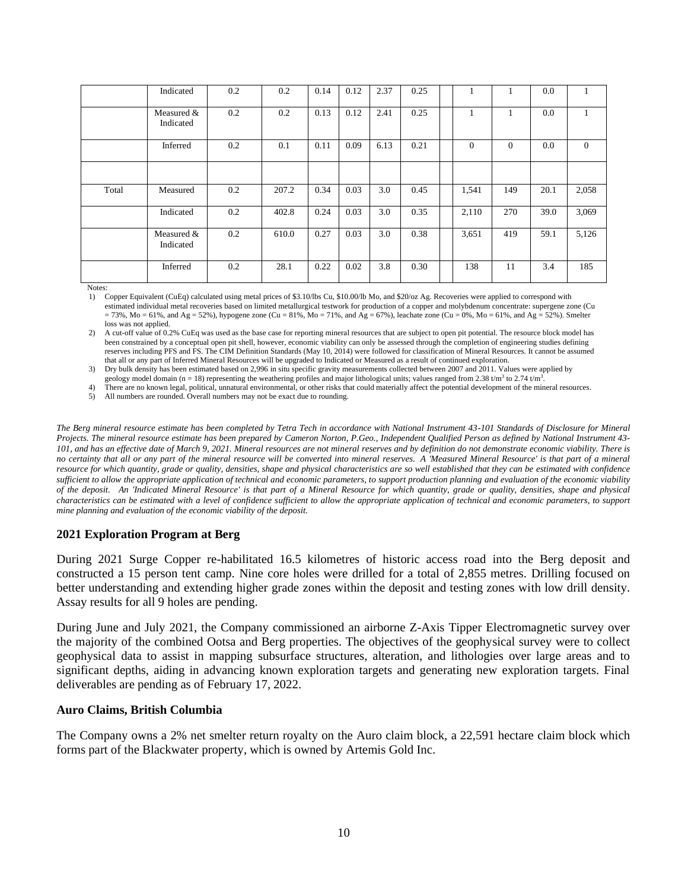|       | Indicated               | 0.2 | 0.2   | 0.14 | 0.12 | 2.37 | 0.25 |          |          | 0.0  |                |
|-------|-------------------------|-----|-------|------|------|------|------|----------|----------|------|----------------|
|       | Measured &<br>Indicated | 0.2 | 0.2   | 0.13 | 0.12 | 2.41 | 0.25 |          |          | 0.0  |                |
|       | Inferred                | 0.2 | 0.1   | 0.11 | 0.09 | 6.13 | 0.21 | $\Omega$ | $\theta$ | 0.0  | $\overline{0}$ |
|       |                         |     |       |      |      |      |      |          |          |      |                |
| Total | Measured                | 0.2 | 207.2 | 0.34 | 0.03 | 3.0  | 0.45 | 1,541    | 149      | 20.1 | 2,058          |
|       | Indicated               | 0.2 | 402.8 | 0.24 | 0.03 | 3.0  | 0.35 | 2,110    | 270      | 39.0 | 3,069          |
|       | Measured &<br>Indicated | 0.2 | 610.0 | 0.27 | 0.03 | 3.0  | 0.38 | 3,651    | 419      | 59.1 | 5,126          |
|       | Inferred                | 0.2 | 28.1  | 0.22 | 0.02 | 3.8  | 0.30 | 138      | 11       | 3.4  | 185            |

Notes:<br>1) (

1) Copper Equivalent (CuEq) calculated using metal prices of \$3.10/lbs Cu, \$10.00/lb Mo, and \$20/oz Ag. Recoveries were applied to correspond with estimated individual metal recoveries based on limited metallurgical testwork for production of a copper and molybdenum concentrate: supergene zone (Cu  $= 73\%$ , Mo  $= 61\%$ , and Ag  $= 52\%$ ), hypogene zone (Cu  $= 81\%$ , Mo  $= 71\%$ , and Ag  $= 67\%$ ), leachate zone (Cu  $= 0\%$ , Mo  $= 61\%$ , and Ag  $= 52\%$ ). Smelter loss was not applied.

2) A cut-off value of 0.2% CuEq was used as the base case for reporting mineral resources that are subject to open pit potential. The resource block model has been constrained by a conceptual open pit shell, however, economic viability can only be assessed through the completion of engineering studies defining reserves including PFS and FS. The CIM Definition Standards (May 10, 2014) were followed for classification of Mineral Resources. It cannot be assumed that all or any part of Inferred Mineral Resources will be upgraded to Indicated or Measured as a result of continued exploration.

3) Dry bulk density has been estimated based on 2,996 in situ specific gravity measurements collected between 2007 and 2011. Values were applied by geology model domain (n = 18) representing the weathering profiles and major lithological units; values ranged from 2.38  $t/m<sup>3</sup>$  to 2.74  $t/m<sup>3</sup>$ .

4) There are no known legal, political, unnatural environmental, or other risks that could materially affect the potential development of the mineral resources.

5) All numbers are rounded. Overall numbers may not be exact due to rounding.

*The Berg mineral resource estimate has been completed by Tetra Tech in accordance with National Instrument 43-101 Standards of Disclosure for Mineral Projects. The mineral resource estimate has been prepared by Cameron Norton, P.Geo., Independent Qualified Person as defined by National Instrument 43- 101, and has an effective date of March 9, 2021. Mineral resources are not mineral reserves and by definition do not demonstrate economic viability. There is no certainty that all or any part of the mineral resource will be converted into mineral reserves. A 'Measured Mineral Resource' is that part of a mineral resource for which quantity, grade or quality, densities, shape and physical characteristics are so well established that they can be estimated with confidence sufficient to allow the appropriate application of technical and economic parameters, to support production planning and evaluation of the economic viability of the deposit. An 'Indicated Mineral Resource' is that part of a Mineral Resource for which quantity, grade or quality, densities, shape and physical characteristics can be estimated with a level of confidence sufficient to allow the appropriate application of technical and economic parameters, to support mine planning and evaluation of the economic viability of the deposit.*

#### **2021 Exploration Program at Berg**

During 2021 Surge Copper re-habilitated 16.5 kilometres of historic access road into the Berg deposit and constructed a 15 person tent camp. Nine core holes were drilled for a total of 2,855 metres. Drilling focused on better understanding and extending higher grade zones within the deposit and testing zones with low drill density. Assay results for all 9 holes are pending.

During June and July 2021, the Company commissioned an airborne Z-Axis Tipper Electromagnetic survey over the majority of the combined Ootsa and Berg properties. The objectives of the geophysical survey were to collect geophysical data to assist in mapping subsurface structures, alteration, and lithologies over large areas and to significant depths, aiding in advancing known exploration targets and generating new exploration targets. Final deliverables are pending as of February 17, 2022.

#### **Auro Claims, British Columbia**

The Company owns a 2% net smelter return royalty on the Auro claim block, a 22,591 hectare claim block which forms part of the Blackwater property, which is owned by Artemis Gold Inc.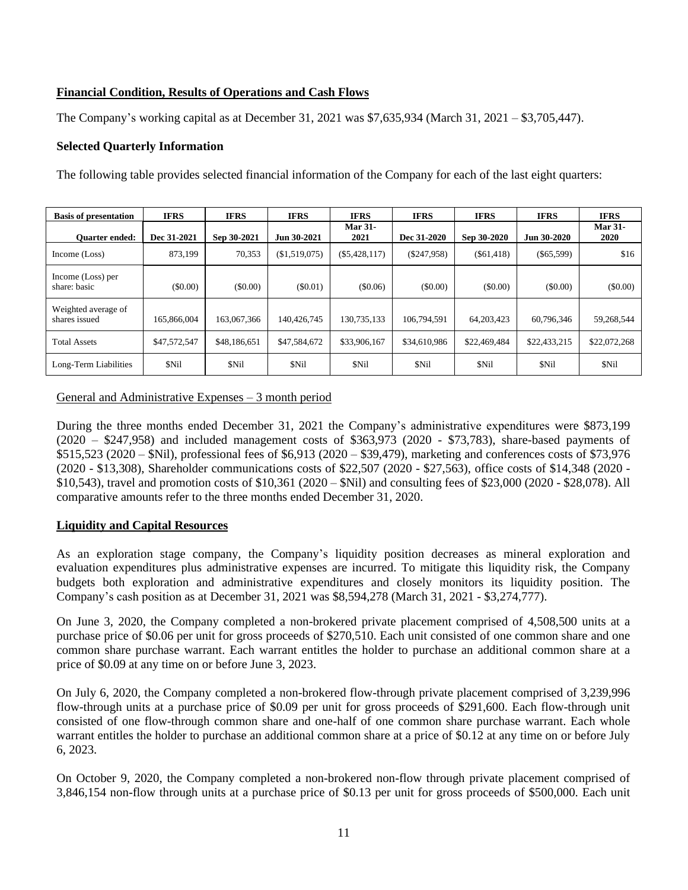# **Financial Condition, Results of Operations and Cash Flows**

The Company's working capital as at December 31, 2021 was \$7,635,934 (March 31, 2021 – \$3,705,447).

### **Selected Quarterly Information**

The following table provides selected financial information of the Company for each of the last eight quarters:

| <b>Basis of presentation</b>         | <b>IFRS</b>  | <b>IFRS</b>  | <b>IFRS</b>   | <b>IFRS</b>            | <b>IFRS</b>   | <b>IFRS</b>  | <b>IFRS</b>  | <b>IFRS</b>                   |
|--------------------------------------|--------------|--------------|---------------|------------------------|---------------|--------------|--------------|-------------------------------|
| <b>Ouarter ended:</b>                | Dec 31-2021  | Sep 30-2021  | Jun 30-2021   | <b>Mar 31-</b><br>2021 | Dec 31-2020   | Sep 30-2020  | Jun 30-2020  | <b>Mar 31-</b><br><b>2020</b> |
| Income (Loss)                        | 873,199      | 70,353       | (\$1,519,075) | $(\$5,428,117)$        | $(\$247,958)$ | $(\$61,418)$ | $(\$65,599)$ | \$16                          |
| Income (Loss) per<br>share: basic    | (S0.00)      | $($ \$0.00)  | (S0.01)       | (\$0.06)               | $($ \$0.00)   | $($ \$0.00)  | $(\$0.00)$   | (\$0.00)                      |
| Weighted average of<br>shares issued | 165,866,004  | 163,067,366  | 140,426,745   | 130,735,133            | 106,794,591   | 64, 203, 423 | 60,796,346   | 59,268,544                    |
| <b>Total Assets</b>                  | \$47,572,547 | \$48,186,651 | \$47,584,672  | \$33,906,167           | \$34,610,986  | \$22,469,484 | \$22,433,215 | \$22,072,268                  |
| Long-Term Liabilities                | \$Nil        | \$Nil        | \$Nil         | \$Nil                  | \$Nil         | \$Nil        | \$Nil        | \$Nil                         |

General and Administrative Expenses – 3 month period

During the three months ended December 31, 2021 the Company's administrative expenditures were \$873,199  $(2020 - $247,958)$  and included management costs of \$363,973 (2020 - \$73,783), share-based payments of \$515,523 (2020 – \$Nil), professional fees of \$6,913 (2020 – \$39,479), marketing and conferences costs of \$73,976 (2020 - \$13,308), Shareholder communications costs of \$22,507 (2020 - \$27,563), office costs of \$14,348 (2020 - \$10,543), travel and promotion costs of \$10,361 (2020 – \$Nil) and consulting fees of \$23,000 (2020 - \$28,078). All comparative amounts refer to the three months ended December 31, 2020.

### **Liquidity and Capital Resources**

As an exploration stage company, the Company's liquidity position decreases as mineral exploration and evaluation expenditures plus administrative expenses are incurred. To mitigate this liquidity risk, the Company budgets both exploration and administrative expenditures and closely monitors its liquidity position. The Company's cash position as at December 31, 2021 was \$8,594,278 (March 31, 2021 - \$3,274,777).

On June 3, 2020, the Company completed a non-brokered private placement comprised of 4,508,500 units at a purchase price of \$0.06 per unit for gross proceeds of \$270,510. Each unit consisted of one common share and one common share purchase warrant. Each warrant entitles the holder to purchase an additional common share at a price of \$0.09 at any time on or before June 3, 2023.

On July 6, 2020, the Company completed a non-brokered flow-through private placement comprised of 3,239,996 flow-through units at a purchase price of \$0.09 per unit for gross proceeds of \$291,600. Each flow-through unit consisted of one flow-through common share and one-half of one common share purchase warrant. Each whole warrant entitles the holder to purchase an additional common share at a price of \$0.12 at any time on or before July 6, 2023.

On October 9, 2020, the Company completed a non-brokered non-flow through private placement comprised of 3,846,154 non-flow through units at a purchase price of \$0.13 per unit for gross proceeds of \$500,000. Each unit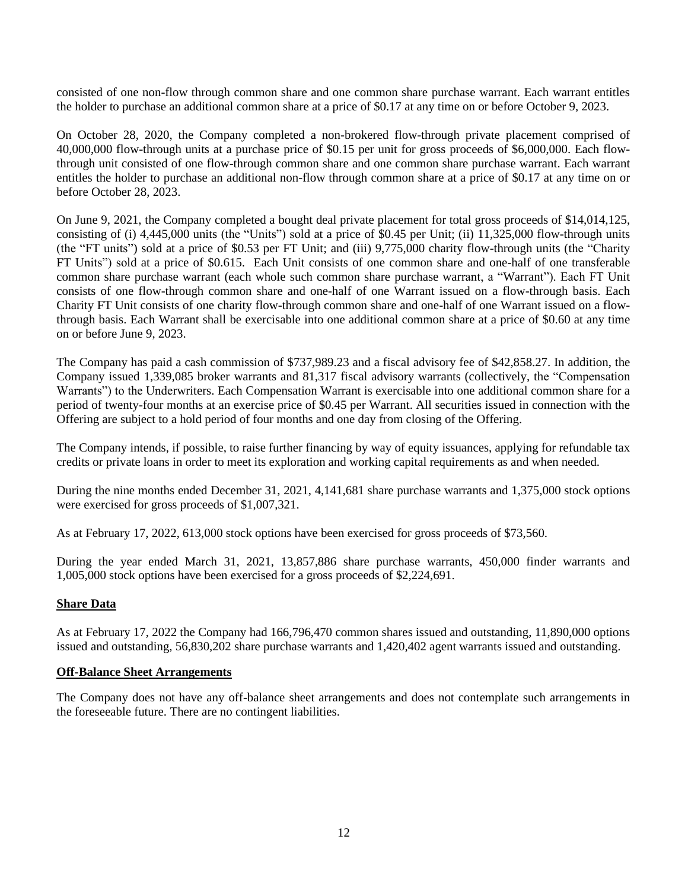consisted of one non-flow through common share and one common share purchase warrant. Each warrant entitles the holder to purchase an additional common share at a price of \$0.17 at any time on or before October 9, 2023.

On October 28, 2020, the Company completed a non-brokered flow-through private placement comprised of 40,000,000 flow-through units at a purchase price of \$0.15 per unit for gross proceeds of \$6,000,000. Each flowthrough unit consisted of one flow-through common share and one common share purchase warrant. Each warrant entitles the holder to purchase an additional non-flow through common share at a price of \$0.17 at any time on or before October 28, 2023.

On June 9, 2021, the Company completed a bought deal private placement for total gross proceeds of \$14,014,125, consisting of (i) 4,445,000 units (the "Units") sold at a price of \$0.45 per Unit; (ii) 11,325,000 flow-through units (the "FT units") sold at a price of \$0.53 per FT Unit; and (iii) 9,775,000 charity flow-through units (the "Charity FT Units") sold at a price of \$0.615. Each Unit consists of one common share and one-half of one transferable common share purchase warrant (each whole such common share purchase warrant, a "Warrant"). Each FT Unit consists of one flow-through common share and one-half of one Warrant issued on a flow-through basis. Each Charity FT Unit consists of one charity flow-through common share and one-half of one Warrant issued on a flowthrough basis. Each Warrant shall be exercisable into one additional common share at a price of \$0.60 at any time on or before June 9, 2023.

The Company has paid a cash commission of \$737,989.23 and a fiscal advisory fee of \$42,858.27. In addition, the Company issued 1,339,085 broker warrants and 81,317 fiscal advisory warrants (collectively, the "Compensation Warrants") to the Underwriters. Each Compensation Warrant is exercisable into one additional common share for a period of twenty-four months at an exercise price of \$0.45 per Warrant. All securities issued in connection with the Offering are subject to a hold period of four months and one day from closing of the Offering.

The Company intends, if possible, to raise further financing by way of equity issuances, applying for refundable tax credits or private loans in order to meet its exploration and working capital requirements as and when needed.

During the nine months ended December 31, 2021, 4,141,681 share purchase warrants and 1,375,000 stock options were exercised for gross proceeds of \$1,007,321.

As at February 17, 2022, 613,000 stock options have been exercised for gross proceeds of \$73,560.

During the year ended March 31, 2021, 13,857,886 share purchase warrants, 450,000 finder warrants and 1,005,000 stock options have been exercised for a gross proceeds of \$2,224,691.

#### **Share Data**

As at February 17, 2022 the Company had 166,796,470 common shares issued and outstanding, 11,890,000 options issued and outstanding, 56,830,202 share purchase warrants and 1,420,402 agent warrants issued and outstanding.

#### **Off-Balance Sheet Arrangements**

The Company does not have any off-balance sheet arrangements and does not contemplate such arrangements in the foreseeable future. There are no contingent liabilities.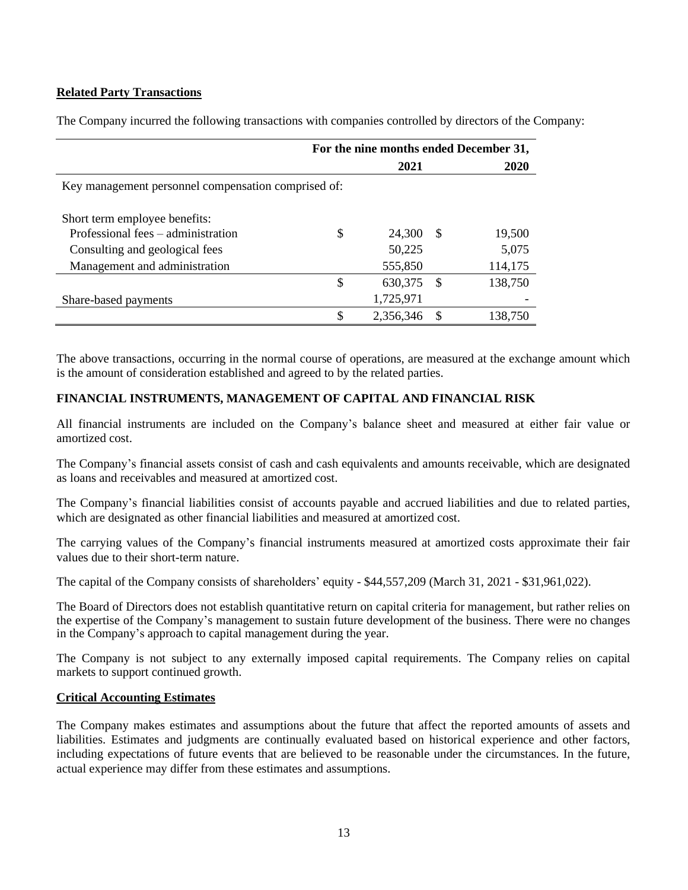# **Related Party Transactions**

|                                                     | For the nine months ended December 31, |           |    |         |  |  |  |  |  |  |
|-----------------------------------------------------|----------------------------------------|-----------|----|---------|--|--|--|--|--|--|
|                                                     |                                        | 2021      |    | 2020    |  |  |  |  |  |  |
| Key management personnel compensation comprised of: |                                        |           |    |         |  |  |  |  |  |  |
|                                                     |                                        |           |    |         |  |  |  |  |  |  |
| Short term employee benefits:                       |                                        |           |    |         |  |  |  |  |  |  |
| Professional fees – administration                  | \$                                     | 24,300    | -S | 19,500  |  |  |  |  |  |  |
| Consulting and geological fees                      |                                        | 50,225    |    | 5,075   |  |  |  |  |  |  |
| Management and administration                       |                                        | 555,850   |    | 114,175 |  |  |  |  |  |  |
|                                                     | \$                                     | 630, 375  | -S | 138,750 |  |  |  |  |  |  |
| Share-based payments                                |                                        | 1,725,971 |    |         |  |  |  |  |  |  |
|                                                     | \$                                     | 2,356,346 | S  | 138,750 |  |  |  |  |  |  |
|                                                     |                                        |           |    |         |  |  |  |  |  |  |

The Company incurred the following transactions with companies controlled by directors of the Company:

The above transactions, occurring in the normal course of operations, are measured at the exchange amount which is the amount of consideration established and agreed to by the related parties.

# **FINANCIAL INSTRUMENTS, MANAGEMENT OF CAPITAL AND FINANCIAL RISK**

All financial instruments are included on the Company's balance sheet and measured at either fair value or amortized cost.

The Company's financial assets consist of cash and cash equivalents and amounts receivable, which are designated as loans and receivables and measured at amortized cost.

The Company's financial liabilities consist of accounts payable and accrued liabilities and due to related parties, which are designated as other financial liabilities and measured at amortized cost.

The carrying values of the Company's financial instruments measured at amortized costs approximate their fair values due to their short-term nature.

The capital of the Company consists of shareholders' equity - \$44,557,209 (March 31, 2021 - \$31,961,022).

The Board of Directors does not establish quantitative return on capital criteria for management, but rather relies on the expertise of the Company's management to sustain future development of the business. There were no changes in the Company's approach to capital management during the year.

The Company is not subject to any externally imposed capital requirements. The Company relies on capital markets to support continued growth.

#### **Critical Accounting Estimates**

The Company makes estimates and assumptions about the future that affect the reported amounts of assets and liabilities. Estimates and judgments are continually evaluated based on historical experience and other factors, including expectations of future events that are believed to be reasonable under the circumstances. In the future, actual experience may differ from these estimates and assumptions.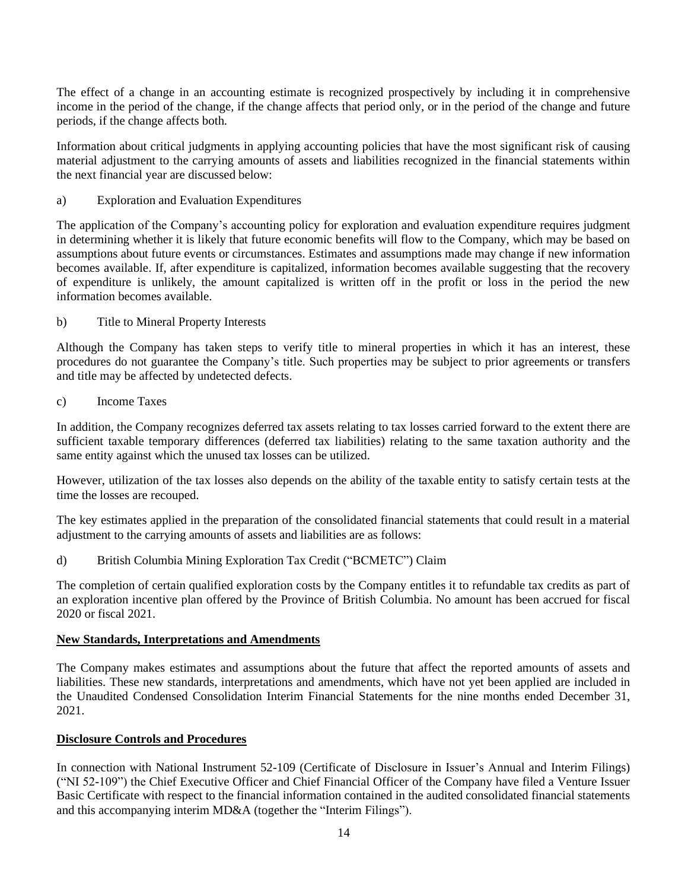The effect of a change in an accounting estimate is recognized prospectively by including it in comprehensive income in the period of the change, if the change affects that period only, or in the period of the change and future periods, if the change affects both.

Information about critical judgments in applying accounting policies that have the most significant risk of causing material adjustment to the carrying amounts of assets and liabilities recognized in the financial statements within the next financial year are discussed below:

a) Exploration and Evaluation Expenditures

The application of the Company's accounting policy for exploration and evaluation expenditure requires judgment in determining whether it is likely that future economic benefits will flow to the Company, which may be based on assumptions about future events or circumstances. Estimates and assumptions made may change if new information becomes available. If, after expenditure is capitalized, information becomes available suggesting that the recovery of expenditure is unlikely, the amount capitalized is written off in the profit or loss in the period the new information becomes available.

### b) Title to Mineral Property Interests

Although the Company has taken steps to verify title to mineral properties in which it has an interest, these procedures do not guarantee the Company's title. Such properties may be subject to prior agreements or transfers and title may be affected by undetected defects.

c) Income Taxes

In addition, the Company recognizes deferred tax assets relating to tax losses carried forward to the extent there are sufficient taxable temporary differences (deferred tax liabilities) relating to the same taxation authority and the same entity against which the unused tax losses can be utilized.

However, utilization of the tax losses also depends on the ability of the taxable entity to satisfy certain tests at the time the losses are recouped.

The key estimates applied in the preparation of the consolidated financial statements that could result in a material adjustment to the carrying amounts of assets and liabilities are as follows:

d) British Columbia Mining Exploration Tax Credit ("BCMETC") Claim

The completion of certain qualified exploration costs by the Company entitles it to refundable tax credits as part of an exploration incentive plan offered by the Province of British Columbia. No amount has been accrued for fiscal 2020 or fiscal 2021.

### **New Standards, Interpretations and Amendments**

The Company makes estimates and assumptions about the future that affect the reported amounts of assets and liabilities. These new standards, interpretations and amendments, which have not yet been applied are included in the Unaudited Condensed Consolidation Interim Financial Statements for the nine months ended December 31, 2021.

#### **Disclosure Controls and Procedures**

In connection with National Instrument 52-109 (Certificate of Disclosure in Issuer's Annual and Interim Filings) ("NI 52-109") the Chief Executive Officer and Chief Financial Officer of the Company have filed a Venture Issuer Basic Certificate with respect to the financial information contained in the audited consolidated financial statements and this accompanying interim MD&A (together the "Interim Filings").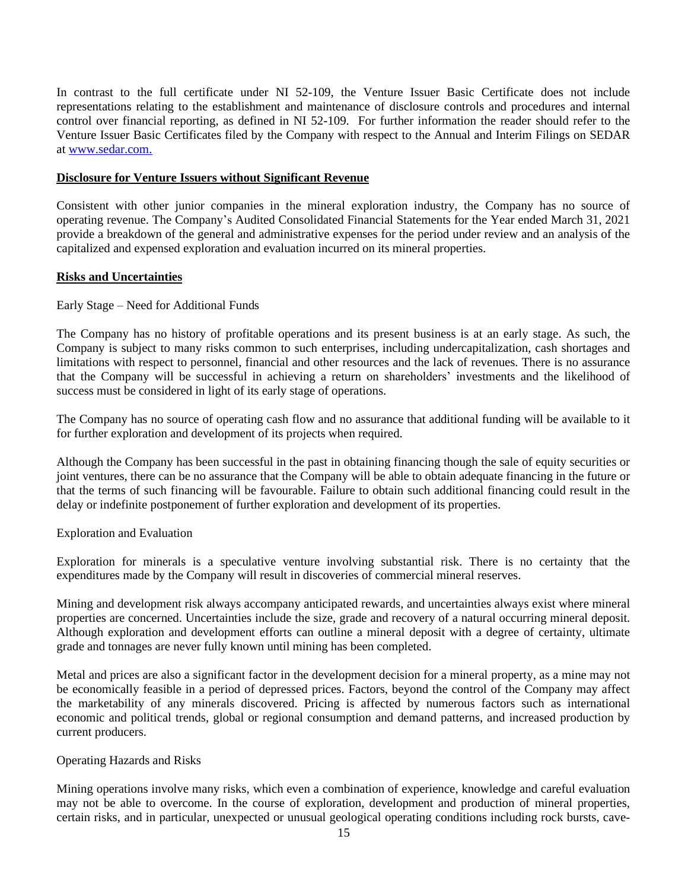In contrast to the full certificate under NI 52-109, the Venture Issuer Basic Certificate does not include representations relating to the establishment and maintenance of disclosure controls and procedures and internal control over financial reporting, as defined in NI 52-109. For further information the reader should refer to the Venture Issuer Basic Certificates filed by the Company with respect to the Annual and Interim Filings on SEDAR at [www.sedar.com.](http://www.sedar.com/)

#### **Disclosure for Venture Issuers without Significant Revenue**

Consistent with other junior companies in the mineral exploration industry, the Company has no source of operating revenue. The Company's Audited Consolidated Financial Statements for the Year ended March 31, 2021 provide a breakdown of the general and administrative expenses for the period under review and an analysis of the capitalized and expensed exploration and evaluation incurred on its mineral properties.

### **Risks and Uncertainties**

#### Early Stage – Need for Additional Funds

The Company has no history of profitable operations and its present business is at an early stage. As such, the Company is subject to many risks common to such enterprises, including undercapitalization, cash shortages and limitations with respect to personnel, financial and other resources and the lack of revenues. There is no assurance that the Company will be successful in achieving a return on shareholders' investments and the likelihood of success must be considered in light of its early stage of operations.

The Company has no source of operating cash flow and no assurance that additional funding will be available to it for further exploration and development of its projects when required.

Although the Company has been successful in the past in obtaining financing though the sale of equity securities or joint ventures, there can be no assurance that the Company will be able to obtain adequate financing in the future or that the terms of such financing will be favourable. Failure to obtain such additional financing could result in the delay or indefinite postponement of further exploration and development of its properties.

### Exploration and Evaluation

Exploration for minerals is a speculative venture involving substantial risk. There is no certainty that the expenditures made by the Company will result in discoveries of commercial mineral reserves.

Mining and development risk always accompany anticipated rewards, and uncertainties always exist where mineral properties are concerned. Uncertainties include the size, grade and recovery of a natural occurring mineral deposit. Although exploration and development efforts can outline a mineral deposit with a degree of certainty, ultimate grade and tonnages are never fully known until mining has been completed.

Metal and prices are also a significant factor in the development decision for a mineral property, as a mine may not be economically feasible in a period of depressed prices. Factors, beyond the control of the Company may affect the marketability of any minerals discovered. Pricing is affected by numerous factors such as international economic and political trends, global or regional consumption and demand patterns, and increased production by current producers.

## Operating Hazards and Risks

Mining operations involve many risks, which even a combination of experience, knowledge and careful evaluation may not be able to overcome. In the course of exploration, development and production of mineral properties, certain risks, and in particular, unexpected or unusual geological operating conditions including rock bursts, cave-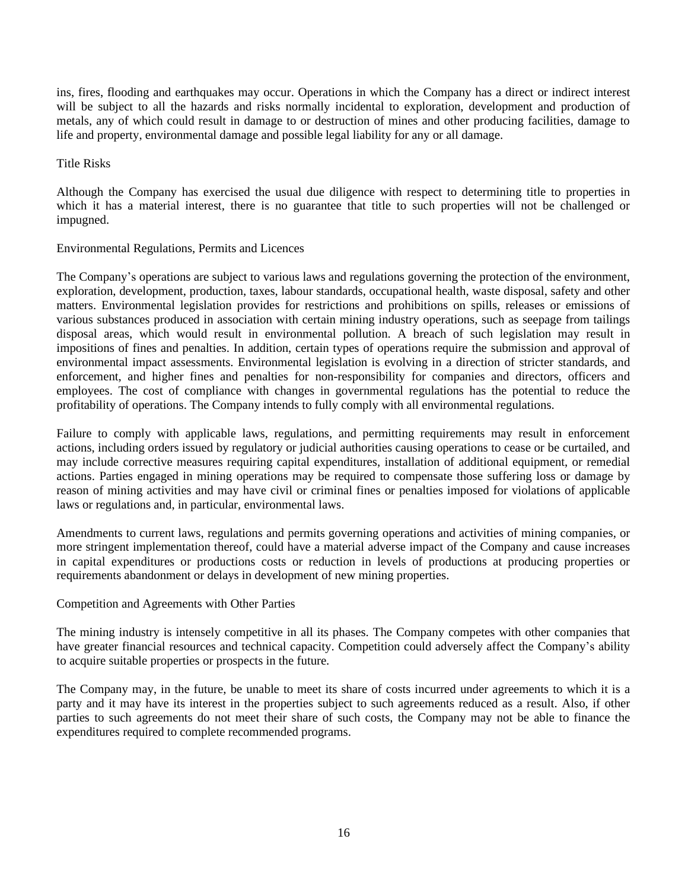ins, fires, flooding and earthquakes may occur. Operations in which the Company has a direct or indirect interest will be subject to all the hazards and risks normally incidental to exploration, development and production of metals, any of which could result in damage to or destruction of mines and other producing facilities, damage to life and property, environmental damage and possible legal liability for any or all damage.

#### Title Risks

Although the Company has exercised the usual due diligence with respect to determining title to properties in which it has a material interest, there is no guarantee that title to such properties will not be challenged or impugned.

#### Environmental Regulations, Permits and Licences

The Company's operations are subject to various laws and regulations governing the protection of the environment, exploration, development, production, taxes, labour standards, occupational health, waste disposal, safety and other matters. Environmental legislation provides for restrictions and prohibitions on spills, releases or emissions of various substances produced in association with certain mining industry operations, such as seepage from tailings disposal areas, which would result in environmental pollution. A breach of such legislation may result in impositions of fines and penalties. In addition, certain types of operations require the submission and approval of environmental impact assessments. Environmental legislation is evolving in a direction of stricter standards, and enforcement, and higher fines and penalties for non-responsibility for companies and directors, officers and employees. The cost of compliance with changes in governmental regulations has the potential to reduce the profitability of operations. The Company intends to fully comply with all environmental regulations.

Failure to comply with applicable laws, regulations, and permitting requirements may result in enforcement actions, including orders issued by regulatory or judicial authorities causing operations to cease or be curtailed, and may include corrective measures requiring capital expenditures, installation of additional equipment, or remedial actions. Parties engaged in mining operations may be required to compensate those suffering loss or damage by reason of mining activities and may have civil or criminal fines or penalties imposed for violations of applicable laws or regulations and, in particular, environmental laws.

Amendments to current laws, regulations and permits governing operations and activities of mining companies, or more stringent implementation thereof, could have a material adverse impact of the Company and cause increases in capital expenditures or productions costs or reduction in levels of productions at producing properties or requirements abandonment or delays in development of new mining properties.

### Competition and Agreements with Other Parties

The mining industry is intensely competitive in all its phases. The Company competes with other companies that have greater financial resources and technical capacity. Competition could adversely affect the Company's ability to acquire suitable properties or prospects in the future.

The Company may, in the future, be unable to meet its share of costs incurred under agreements to which it is a party and it may have its interest in the properties subject to such agreements reduced as a result. Also, if other parties to such agreements do not meet their share of such costs, the Company may not be able to finance the expenditures required to complete recommended programs.